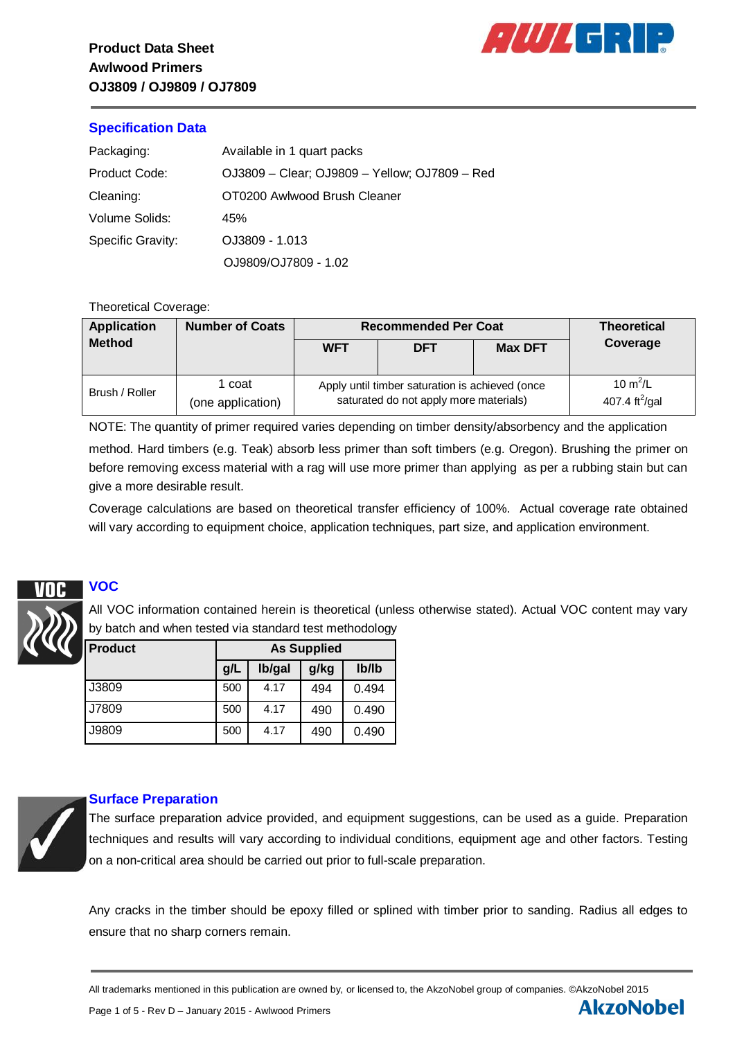

**AkzoNobel** 

## **Specification Data**

| Packaging:               | Available in 1 quart packs                    |
|--------------------------|-----------------------------------------------|
| Product Code:            | OJ3809 - Clear; OJ9809 - Yellow; OJ7809 - Red |
| Cleaning:                | OT0200 Awlwood Brush Cleaner                  |
| Volume Solids:           | 45%                                           |
| <b>Specific Gravity:</b> | OJ3809 - 1.013                                |
|                          | OJ9809/OJ7809 - 1.02                          |

## Theoretical Coverage:

| <b>Application</b> | <b>Number of Coats</b>      | <b>Recommended Per Coat</b>                                                               | <b>Theoretical</b> |                |                                          |
|--------------------|-----------------------------|-------------------------------------------------------------------------------------------|--------------------|----------------|------------------------------------------|
| <b>Method</b>      |                             | <b>WFT</b>                                                                                | <b>DFT</b>         | <b>Max DFT</b> | Coverage                                 |
| Brush / Roller     | l coat<br>(one application) | Apply until timber saturation is achieved (once<br>saturated do not apply more materials) |                    |                | 10 $m^2/L$<br>407.4 ft <sup>2</sup> /gal |

NOTE: The quantity of primer required varies depending on timber density/absorbency and the application method. Hard timbers (e.g. Teak) absorb less primer than soft timbers (e.g. Oregon). Brushing the primer on before removing excess material with a rag will use more primer than applying as per a rubbing stain but can give a more desirable result.

Coverage calculations are based on theoretical transfer efficiency of 100%. Actual coverage rate obtained will vary according to equipment choice, application techniques, part size, and application environment.

# **VOC**

All VOC information contained herein is theoretical (unless otherwise stated). Actual VOC content may vary by batch and when tested via standard test methodology

| <b>Product</b> | <b>As Supplied</b> |        |      |       |  |
|----------------|--------------------|--------|------|-------|--|
|                | g/L                | lb/gal | g/kg | Ib/Ib |  |
| J3809          | 500                | 4.17   | 494  | 0.494 |  |
| J7809          | 500                | 4.17   | 490  | 0.490 |  |
| J9809          | 500                | 4.17   | 490  | 0.490 |  |



## **Surface Preparation**

The surface preparation advice provided, and equipment suggestions, can be used as a guide. Preparation techniques and results will vary according to individual conditions, equipment age and other factors. Testing on a non-critical area should be carried out prior to full-scale preparation.

Any cracks in the timber should be epoxy filled or splined with timber prior to sanding. Radius all edges to ensure that no sharp corners remain.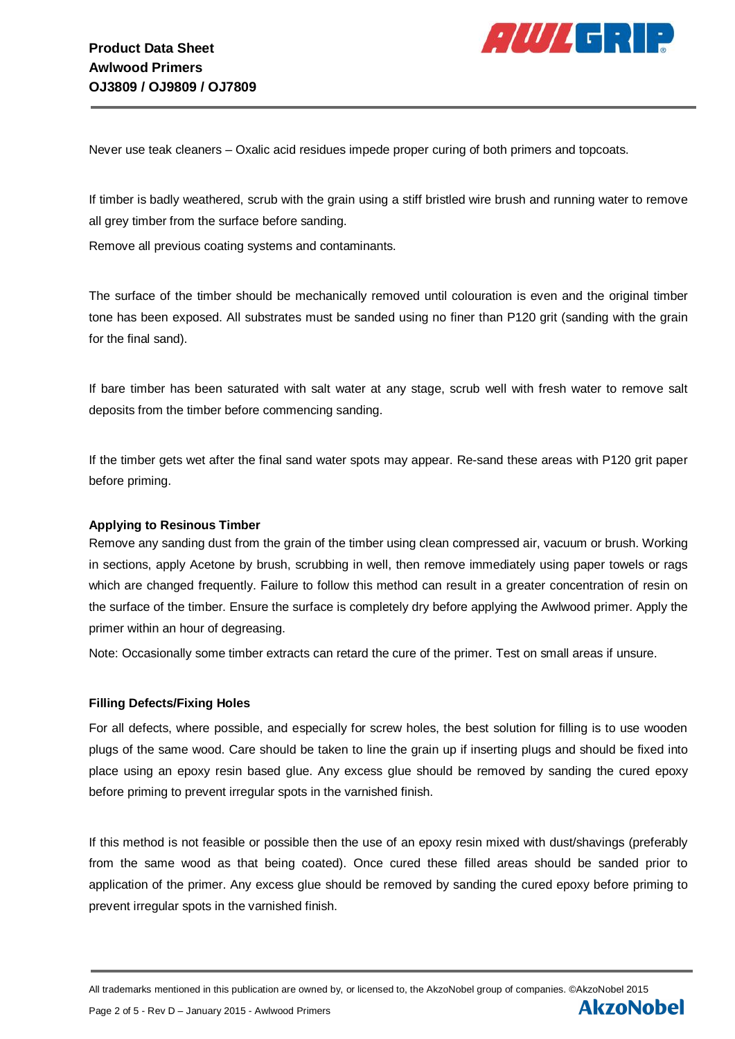

**AkzoNobel** 

Never use teak cleaners – Oxalic acid residues impede proper curing of both primers and topcoats.

If timber is badly weathered, scrub with the grain using a stiff bristled wire brush and running water to remove all grey timber from the surface before sanding.

Remove all previous coating systems and contaminants.

The surface of the timber should be mechanically removed until colouration is even and the original timber tone has been exposed. All substrates must be sanded using no finer than P120 grit (sanding with the grain for the final sand).

If bare timber has been saturated with salt water at any stage, scrub well with fresh water to remove salt deposits from the timber before commencing sanding.

If the timber gets wet after the final sand water spots may appear. Re-sand these areas with P120 grit paper before priming.

## **Applying to Resinous Timber**

Remove any sanding dust from the grain of the timber using clean compressed air, vacuum or brush. Working in sections, apply Acetone by brush, scrubbing in well, then remove immediately using paper towels or rags which are changed frequently. Failure to follow this method can result in a greater concentration of resin on the surface of the timber. Ensure the surface is completely dry before applying the Awlwood primer. Apply the primer within an hour of degreasing.

Note: Occasionally some timber extracts can retard the cure of the primer. Test on small areas if unsure.

## **Filling Defects/Fixing Holes**

For all defects, where possible, and especially for screw holes, the best solution for filling is to use wooden plugs of the same wood. Care should be taken to line the grain up if inserting plugs and should be fixed into place using an epoxy resin based glue. Any excess glue should be removed by sanding the cured epoxy before priming to prevent irregular spots in the varnished finish.

If this method is not feasible or possible then the use of an epoxy resin mixed with dust/shavings (preferably from the same wood as that being coated). Once cured these filled areas should be sanded prior to application of the primer. Any excess glue should be removed by sanding the cured epoxy before priming to prevent irregular spots in the varnished finish.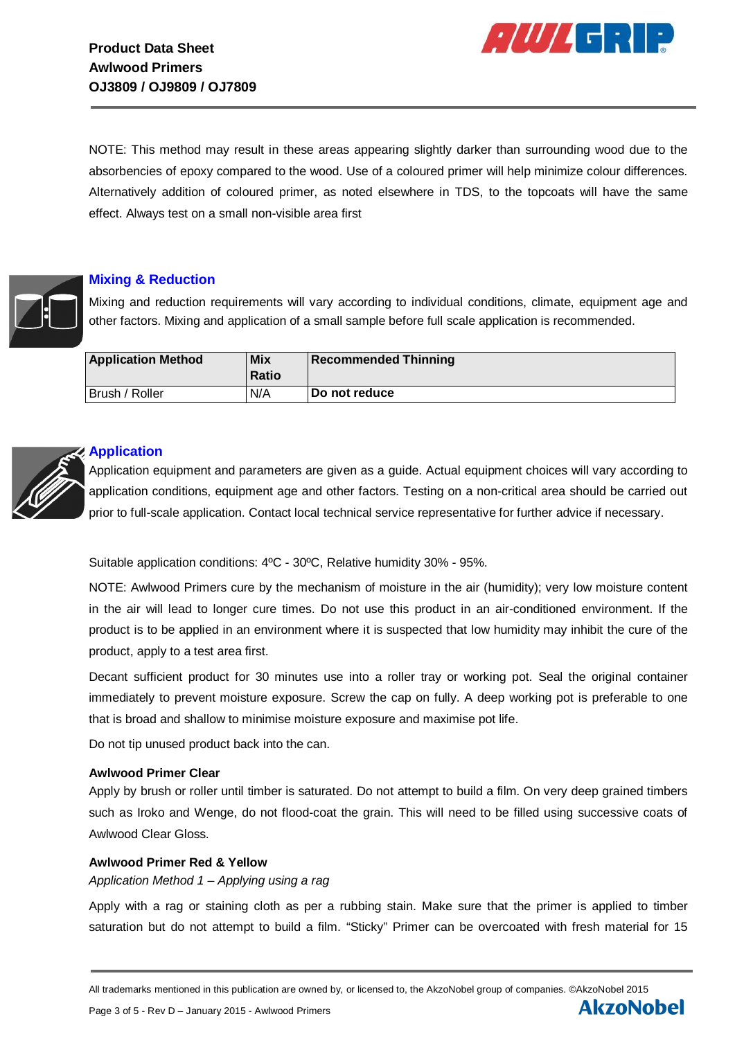

**AkzoNobel** 

NOTE: This method may result in these areas appearing slightly darker than surrounding wood due to the absorbencies of epoxy compared to the wood. Use of a coloured primer will help minimize colour differences. Alternatively addition of coloured primer, as noted elsewhere in TDS, to the topcoats will have the same effect. Always test on a small non-visible area first



## **Mixing & Reduction**

Mixing and reduction requirements will vary according to individual conditions, climate, equipment age and other factors. Mixing and application of a small sample before full scale application is recommended.

| <b>Application Method</b> | <b>Mix</b><br><b>Ratio</b> | <b>Recommended Thinning</b> |
|---------------------------|----------------------------|-----------------------------|
| Brush / Roller            | N/A                        | <b>Do not reduce</b>        |



#### **Application**

Application equipment and parameters are given as a guide. Actual equipment choices will vary according to application conditions, equipment age and other factors. Testing on a non-critical area should be carried out prior to full-scale application. Contact local technical service representative for further advice if necessary.

Suitable application conditions: 4ºC - 30ºC, Relative humidity 30% - 95%.

NOTE: Awlwood Primers cure by the mechanism of moisture in the air (humidity); very low moisture content in the air will lead to longer cure times. Do not use this product in an air-conditioned environment. If the product is to be applied in an environment where it is suspected that low humidity may inhibit the cure of the product, apply to a test area first.

Decant sufficient product for 30 minutes use into a roller tray or working pot. Seal the original container immediately to prevent moisture exposure. Screw the cap on fully. A deep working pot is preferable to one that is broad and shallow to minimise moisture exposure and maximise pot life.

Do not tip unused product back into the can.

#### **Awlwood Primer Clear**

Apply by brush or roller until timber is saturated. Do not attempt to build a film. On very deep grained timbers such as Iroko and Wenge, do not flood-coat the grain. This will need to be filled using successive coats of Awlwood Clear Gloss.

#### **Awlwood Primer Red & Yellow**

*Application Method 1 – Applying using a rag*

Apply with a rag or staining cloth as per a rubbing stain. Make sure that the primer is applied to timber saturation but do not attempt to build a film. "Sticky" Primer can be overcoated with fresh material for 15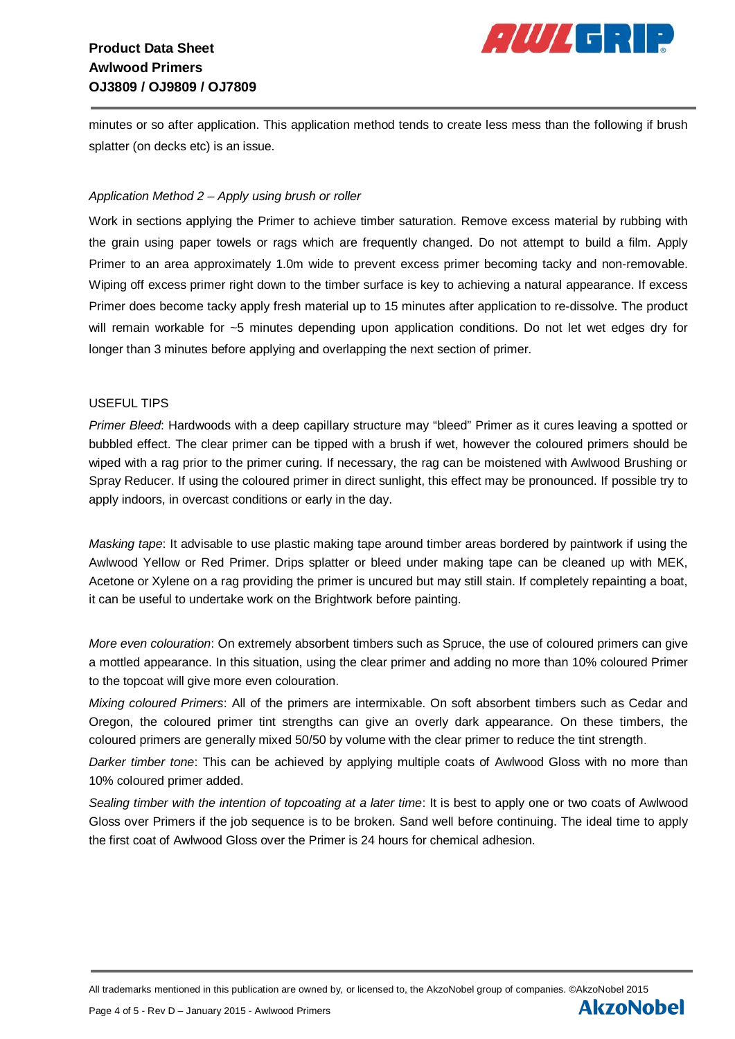## **Product Data Sheet Awlwood Primers OJ3809 / OJ9809 / OJ7809**



**AkzoNobel** 

minutes or so after application. This application method tends to create less mess than the following if brush splatter (on decks etc) is an issue.

## *Application Method 2 – Apply using brush or roller*

Work in sections applying the Primer to achieve timber saturation. Remove excess material by rubbing with the grain using paper towels or rags which are frequently changed. Do not attempt to build a film. Apply Primer to an area approximately 1.0m wide to prevent excess primer becoming tacky and non-removable. Wiping off excess primer right down to the timber surface is key to achieving a natural appearance. If excess Primer does become tacky apply fresh material up to 15 minutes after application to re-dissolve. The product will remain workable for ~5 minutes depending upon application conditions. Do not let wet edges dry for longer than 3 minutes before applying and overlapping the next section of primer.

## USEFUL TIPS

*Primer Bleed*: Hardwoods with a deep capillary structure may "bleed" Primer as it cures leaving a spotted or bubbled effect. The clear primer can be tipped with a brush if wet, however the coloured primers should be wiped with a rag prior to the primer curing. If necessary, the rag can be moistened with Awlwood Brushing or Spray Reducer. If using the coloured primer in direct sunlight, this effect may be pronounced. If possible try to apply indoors, in overcast conditions or early in the day.

*Masking tape*: It advisable to use plastic making tape around timber areas bordered by paintwork if using the Awlwood Yellow or Red Primer. Drips splatter or bleed under making tape can be cleaned up with MEK, Acetone or Xylene on a rag providing the primer is uncured but may still stain. If completely repainting a boat, it can be useful to undertake work on the Brightwork before painting.

*More even colouration*: On extremely absorbent timbers such as Spruce, the use of coloured primers can give a mottled appearance. In this situation, using the clear primer and adding no more than 10% coloured Primer to the topcoat will give more even colouration.

*Mixing coloured Primers*: All of the primers are intermixable. On soft absorbent timbers such as Cedar and Oregon, the coloured primer tint strengths can give an overly dark appearance. On these timbers, the coloured primers are generally mixed 50/50 by volume with the clear primer to reduce the tint strength.

*Darker timber tone*: This can be achieved by applying multiple coats of Awlwood Gloss with no more than 10% coloured primer added.

*Sealing timber with the intention of topcoating at a later time*: It is best to apply one or two coats of Awlwood Gloss over Primers if the job sequence is to be broken. Sand well before continuing. The ideal time to apply the first coat of Awlwood Gloss over the Primer is 24 hours for chemical adhesion.